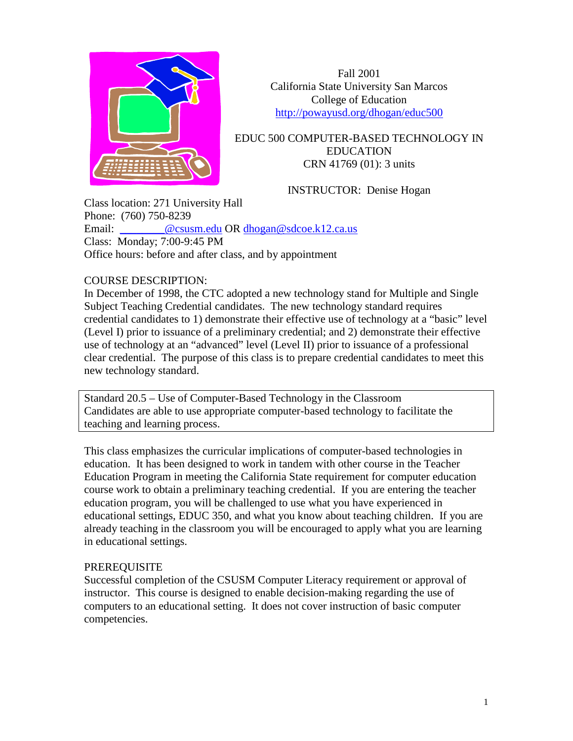

Fall 2001 California State University San Marcos College of Education <http://powayusd.org/dhogan/educ500>

EDUC 500 COMPUTER-BASED TECHNOLOGY IN EDUCATION CRN 41769 (01): 3 units

INSTRUCTOR: Denise Hogan

Class location: 271 University Hall Phone: (760) 750-8239 Email: @csusm.edu OR [dhogan@sdcoe.k12.ca.us](mailto:dhogan@sdcoe.k12.ca.us) Class: Monday; 7:00-9:45 PM Office hours: before and after class, and by appointment

## COURSE DESCRIPTION:

In December of 1998, the CTC adopted a new technology stand for Multiple and Single Subject Teaching Credential candidates. The new technology standard requires credential candidates to 1) demonstrate their effective use of technology at a "basic" level (Level I) prior to issuance of a preliminary credential; and 2) demonstrate their effective use of technology at an "advanced" level (Level II) prior to issuance of a professional clear credential. The purpose of this class is to prepare credential candidates to meet this new technology standard.

Standard 20.5 – Use of Computer-Based Technology in the Classroom Candidates are able to use appropriate computer-based technology to facilitate the teaching and learning process.

This class emphasizes the curricular implications of computer-based technologies in education. It has been designed to work in tandem with other course in the Teacher Education Program in meeting the California State requirement for computer education course work to obtain a preliminary teaching credential. If you are entering the teacher education program, you will be challenged to use what you have experienced in educational settings, EDUC 350, and what you know about teaching children. If you are already teaching in the classroom you will be encouraged to apply what you are learning in educational settings.

### PREREQUISITE

Successful completion of the CSUSM Computer Literacy requirement or approval of instructor. This course is designed to enable decision-making regarding the use of computers to an educational setting. It does not cover instruction of basic computer competencies.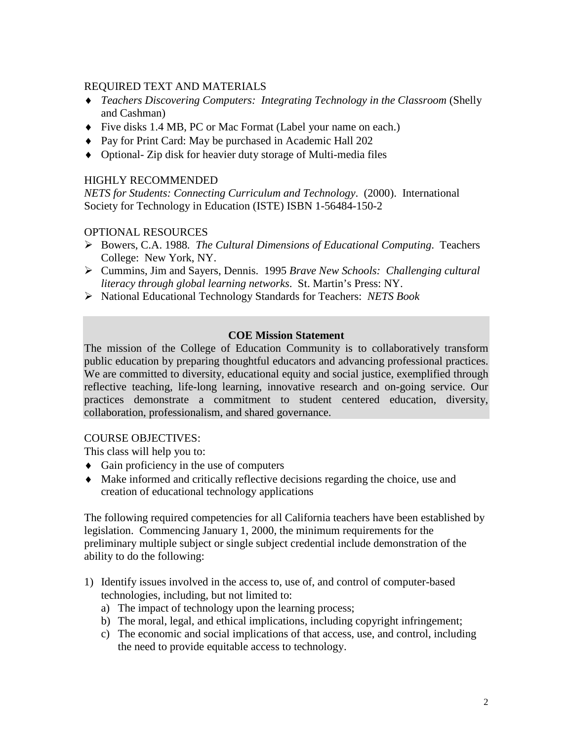## REQUIRED TEXT AND MATERIALS

- ♦ *Teachers Discovering Computers: Integrating Technology in the Classroom* (Shelly and Cashman)
- ♦ Five disks 1.4 MB, PC or Mac Format (Label your name on each.)
- ♦ Pay for Print Card: May be purchased in Academic Hall 202
- ♦ Optional- Zip disk for heavier duty storage of Multi-media files

# HIGHLY RECOMMENDED

*NETS for Students: Connecting Curriculum and Technology*. (2000). International Society for Technology in Education (ISTE) ISBN 1-56484-150-2

# OPTIONAL RESOURCES

- Bowers, C.A. 1988*. The Cultural Dimensions of Educational Computing*. Teachers College: New York, NY.
- Cummins, Jim and Sayers, Dennis. 1995 *Brave New Schools: Challenging cultural literacy through global learning networks*. St. Martin's Press: NY.
- National Educational Technology Standards for Teachers: *NETS Book*

## **COE Mission Statement**

The mission of the College of Education Community is to collaboratively transform public education by preparing thoughtful educators and advancing professional practices. We are committed to diversity, educational equity and social justice, exemplified through reflective teaching, life-long learning, innovative research and on-going service. Our practices demonstrate a commitment to student centered education, diversity, collaboration, professionalism, and shared governance.

## COURSE OBJECTIVES:

This class will help you to:

- $\triangleleft$  Gain proficiency in the use of computers
- ♦ Make informed and critically reflective decisions regarding the choice, use and creation of educational technology applications

The following required competencies for all California teachers have been established by legislation. Commencing January 1, 2000, the minimum requirements for the preliminary multiple subject or single subject credential include demonstration of the ability to do the following:

- 1) Identify issues involved in the access to, use of, and control of computer-based technologies, including, but not limited to:
	- a) The impact of technology upon the learning process;
	- b) The moral, legal, and ethical implications, including copyright infringement;
	- c) The economic and social implications of that access, use, and control, including the need to provide equitable access to technology.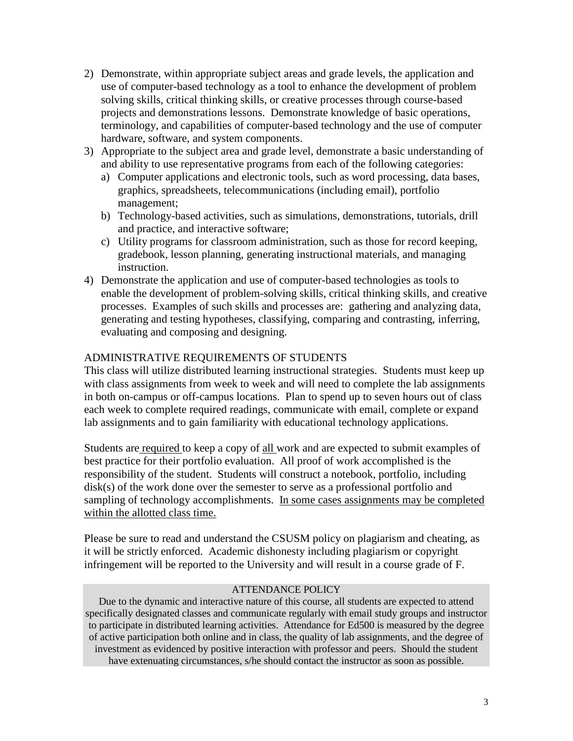- 2) Demonstrate, within appropriate subject areas and grade levels, the application and use of computer-based technology as a tool to enhance the development of problem solving skills, critical thinking skills, or creative processes through course-based projects and demonstrations lessons. Demonstrate knowledge of basic operations, terminology, and capabilities of computer-based technology and the use of computer hardware, software, and system components.
- 3) Appropriate to the subject area and grade level, demonstrate a basic understanding of and ability to use representative programs from each of the following categories:
	- a) Computer applications and electronic tools, such as word processing, data bases, graphics, spreadsheets, telecommunications (including email), portfolio management;
	- b) Technology-based activities, such as simulations, demonstrations, tutorials, drill and practice, and interactive software;
	- c) Utility programs for classroom administration, such as those for record keeping, gradebook, lesson planning, generating instructional materials, and managing instruction.
- 4) Demonstrate the application and use of computer-based technologies as tools to enable the development of problem-solving skills, critical thinking skills, and creative processes. Examples of such skills and processes are: gathering and analyzing data, generating and testing hypotheses, classifying, comparing and contrasting, inferring, evaluating and composing and designing.

## ADMINISTRATIVE REQUIREMENTS OF STUDENTS

This class will utilize distributed learning instructional strategies. Students must keep up with class assignments from week to week and will need to complete the lab assignments in both on-campus or off-campus locations. Plan to spend up to seven hours out of class each week to complete required readings, communicate with email, complete or expand lab assignments and to gain familiarity with educational technology applications.

Students are required to keep a copy of all work and are expected to submit examples of best practice for their portfolio evaluation. All proof of work accomplished is the responsibility of the student. Students will construct a notebook, portfolio, including disk(s) of the work done over the semester to serve as a professional portfolio and sampling of technology accomplishments. In some cases assignments may be completed within the allotted class time.

Please be sure to read and understand the CSUSM policy on plagiarism and cheating, as it will be strictly enforced. Academic dishonesty including plagiarism or copyright infringement will be reported to the University and will result in a course grade of F.

#### ATTENDANCE POLICY

Due to the dynamic and interactive nature of this course, all students are expected to attend specifically designated classes and communicate regularly with email study groups and instructor to participate in distributed learning activities. Attendance for Ed500 is measured by the degree of active participation both online and in class, the quality of lab assignments, and the degree of investment as evidenced by positive interaction with professor and peers. Should the student have extenuating circumstances, s/he should contact the instructor as soon as possible.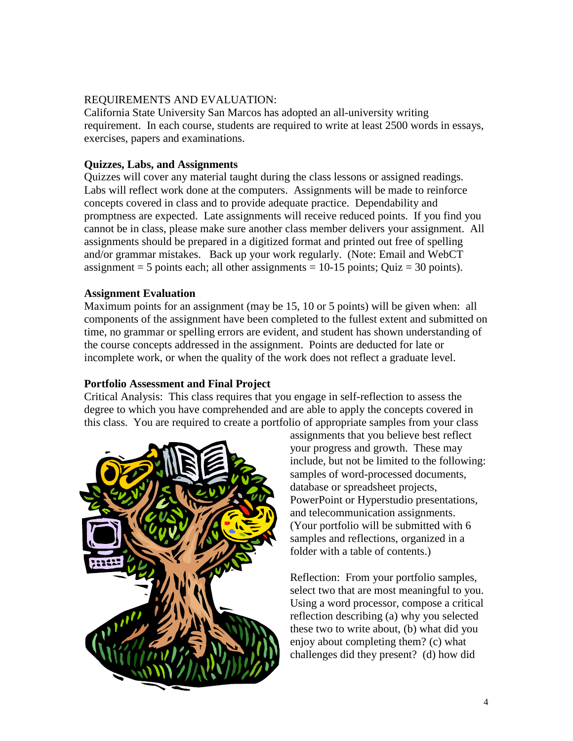### REQUIREMENTS AND EVALUATION:

California State University San Marcos has adopted an all-university writing requirement. In each course, students are required to write at least 2500 words in essays, exercises, papers and examinations.

### **Quizzes, Labs, and Assignments**

Quizzes will cover any material taught during the class lessons or assigned readings. Labs will reflect work done at the computers. Assignments will be made to reinforce concepts covered in class and to provide adequate practice. Dependability and promptness are expected. Late assignments will receive reduced points. If you find you cannot be in class, please make sure another class member delivers your assignment. All assignments should be prepared in a digitized format and printed out free of spelling and/or grammar mistakes. Back up your work regularly. (Note: Email and WebCT assignment = 5 points each; all other assignments =  $10-15$  points; Quiz = 30 points).

### **Assignment Evaluation**

Maximum points for an assignment (may be 15, 10 or 5 points) will be given when: all components of the assignment have been completed to the fullest extent and submitted on time, no grammar or spelling errors are evident, and student has shown understanding of the course concepts addressed in the assignment. Points are deducted for late or incomplete work, or when the quality of the work does not reflect a graduate level.

## **Portfolio Assessment and Final Project**

Critical Analysis: This class requires that you engage in self-reflection to assess the degree to which you have comprehended and are able to apply the concepts covered in this class. You are required to create a portfolio of appropriate samples from your class



assignments that you believe best reflect your progress and growth. These may include, but not be limited to the following: samples of word-processed documents, database or spreadsheet projects, PowerPoint or Hyperstudio presentations, and telecommunication assignments. (Your portfolio will be submitted with 6 samples and reflections, organized in a folder with a table of contents.)

Reflection: From your portfolio samples, select two that are most meaningful to you. Using a word processor, compose a critical reflection describing (a) why you selected these two to write about, (b) what did you enjoy about completing them? (c) what challenges did they present? (d) how did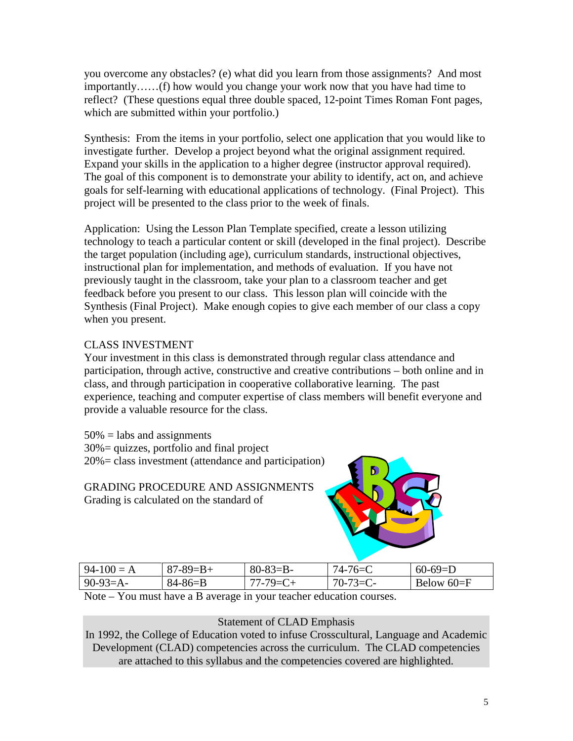you overcome any obstacles? (e) what did you learn from those assignments? And most importantly……(f) how would you change your work now that you have had time to reflect? (These questions equal three double spaced, 12-point Times Roman Font pages, which are submitted within your portfolio.)

Synthesis: From the items in your portfolio, select one application that you would like to investigate further. Develop a project beyond what the original assignment required. Expand your skills in the application to a higher degree (instructor approval required). The goal of this component is to demonstrate your ability to identify, act on, and achieve goals for self-learning with educational applications of technology. (Final Project). This project will be presented to the class prior to the week of finals.

Application: Using the Lesson Plan Template specified, create a lesson utilizing technology to teach a particular content or skill (developed in the final project). Describe the target population (including age), curriculum standards, instructional objectives, instructional plan for implementation, and methods of evaluation. If you have not previously taught in the classroom, take your plan to a classroom teacher and get feedback before you present to our class. This lesson plan will coincide with the Synthesis (Final Project). Make enough copies to give each member of our class a copy when you present.

# CLASS INVESTMENT

Your investment in this class is demonstrated through regular class attendance and participation, through active, constructive and creative contributions – both online and in class, and through participation in cooperative collaborative learning. The past experience, teaching and computer expertise of class members will benefit everyone and provide a valuable resource for the class.

 $50\%$  = labs and assignments 30%= quizzes, portfolio and final project 20%= class investment (attendance and participation)

GRADING PROCEDURE AND ASSIGNMENTS Grading is calculated on the standard of



| $94-100 = A$ | $87 - 89 = B +$ | $80 - 83 = B -$ | $74 - 76 = 0$ | $60-69=D$      |
|--------------|-----------------|-----------------|---------------|----------------|
| $90-93=A-$   | $84 - 86 = B$   | $77 - 79 = C +$ | $70-73=C-$    | Below $60 = F$ |

Note – You must have a B average in your teacher education courses.

## Statement of CLAD Emphasis

In 1992, the College of Education voted to infuse Crosscultural, Language and Academic Development (CLAD) competencies across the curriculum. The CLAD competencies are attached to this syllabus and the competencies covered are highlighted.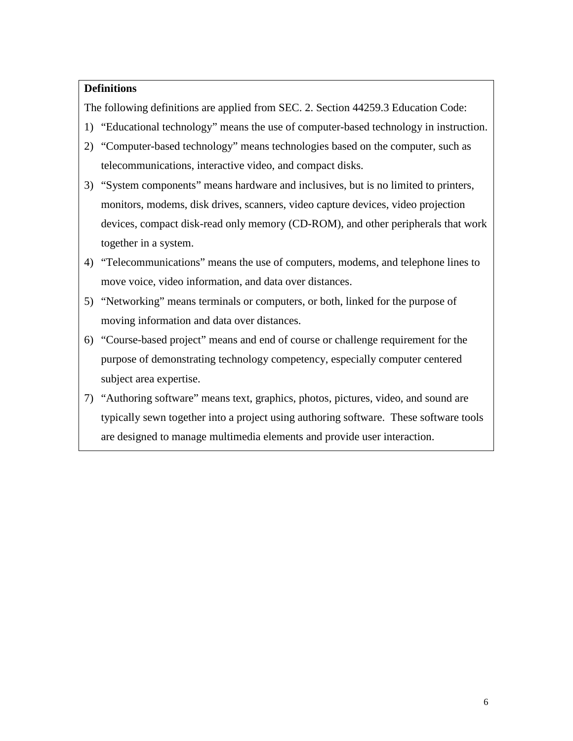## **Definitions**

The following definitions are applied from SEC. 2. Section 44259.3 Education Code:

- 1) "Educational technology" means the use of computer-based technology in instruction.
- 2) "Computer-based technology" means technologies based on the computer, such as telecommunications, interactive video, and compact disks.
- 3) "System components" means hardware and inclusives, but is no limited to printers, monitors, modems, disk drives, scanners, video capture devices, video projection devices, compact disk-read only memory (CD-ROM), and other peripherals that work together in a system.
- 4) "Telecommunications" means the use of computers, modems, and telephone lines to move voice, video information, and data over distances.
- 5) "Networking" means terminals or computers, or both, linked for the purpose of moving information and data over distances.
- 6) "Course-based project" means and end of course or challenge requirement for the purpose of demonstrating technology competency, especially computer centered subject area expertise.
- 7) "Authoring software" means text, graphics, photos, pictures, video, and sound are typically sewn together into a project using authoring software. These software tools are designed to manage multimedia elements and provide user interaction.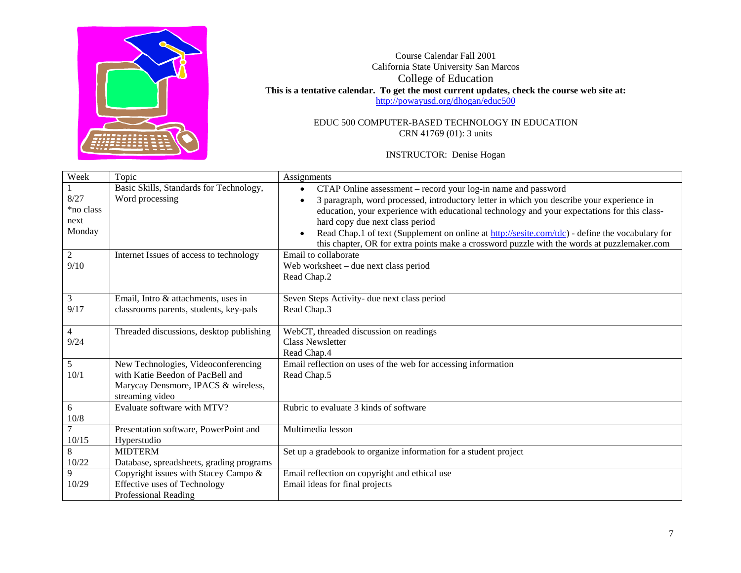

Course Calendar Fall 2001 California State University San Marcos College of Education **This is a tentative calendar. To get the most current updates, check the course web site at:** <http://powayusd.org/dhogan/educ500>

> EDUC 500 COMPUTER-BASED TECHNOLOGY IN EDUCATION CRN 41769 (01): 3 units

> > INSTRUCTOR: Denise Hogan

| Week                     | Topic                                                      | Assignments                                                                                                                                                |
|--------------------------|------------------------------------------------------------|------------------------------------------------------------------------------------------------------------------------------------------------------------|
| 8/27                     | Basic Skills, Standards for Technology,<br>Word processing | CTAP Online assessment - record your log-in name and password<br>3 paragraph, word processed, introductory letter in which you describe your experience in |
| *no class                |                                                            | education, your experience with educational technology and your expectations for this class-                                                               |
| next                     |                                                            | hard copy due next class period                                                                                                                            |
| Monday                   |                                                            | Read Chap.1 of text (Supplement on online at http://sesite.com/tdc) - define the vocabulary for                                                            |
|                          |                                                            | this chapter, OR for extra points make a crossword puzzle with the words at puzzlemaker.com                                                                |
| $\overline{2}$           | Internet Issues of access to technology                    | Email to collaborate                                                                                                                                       |
| 9/10                     |                                                            | Web worksheet - due next class period                                                                                                                      |
|                          |                                                            | Read Chap.2                                                                                                                                                |
| 3                        | Email, Intro & attachments, uses in                        | Seven Steps Activity- due next class period                                                                                                                |
| 9/17                     | classrooms parents, students, key-pals                     | Read Chap.3                                                                                                                                                |
|                          |                                                            |                                                                                                                                                            |
| $\overline{4}$           | Threaded discussions, desktop publishing                   | WebCT, threaded discussion on readings                                                                                                                     |
| 9/24                     |                                                            | <b>Class Newsletter</b>                                                                                                                                    |
|                          |                                                            | Read Chap.4                                                                                                                                                |
| 5                        | New Technologies, Videoconferencing                        | Email reflection on uses of the web for accessing information                                                                                              |
| 10/1                     | with Katie Beedon of PacBell and                           | Read Chap.5                                                                                                                                                |
|                          | Marycay Densmore, IPACS & wireless,                        |                                                                                                                                                            |
|                          | streaming video                                            |                                                                                                                                                            |
| 6                        | Evaluate software with MTV?                                | Rubric to evaluate 3 kinds of software                                                                                                                     |
| $10/8$<br>$\overline{7}$ |                                                            | Multimedia lesson                                                                                                                                          |
| 10/15                    | Presentation software, PowerPoint and<br>Hyperstudio       |                                                                                                                                                            |
| $\,8\,$                  | <b>MIDTERM</b>                                             | Set up a gradebook to organize information for a student project                                                                                           |
| 10/22                    | Database, spreadsheets, grading programs                   |                                                                                                                                                            |
| 9                        | Copyright issues with Stacey Campo &                       | Email reflection on copyright and ethical use                                                                                                              |
| 10/29                    | Effective uses of Technology                               | Email ideas for final projects                                                                                                                             |
|                          | Professional Reading                                       |                                                                                                                                                            |